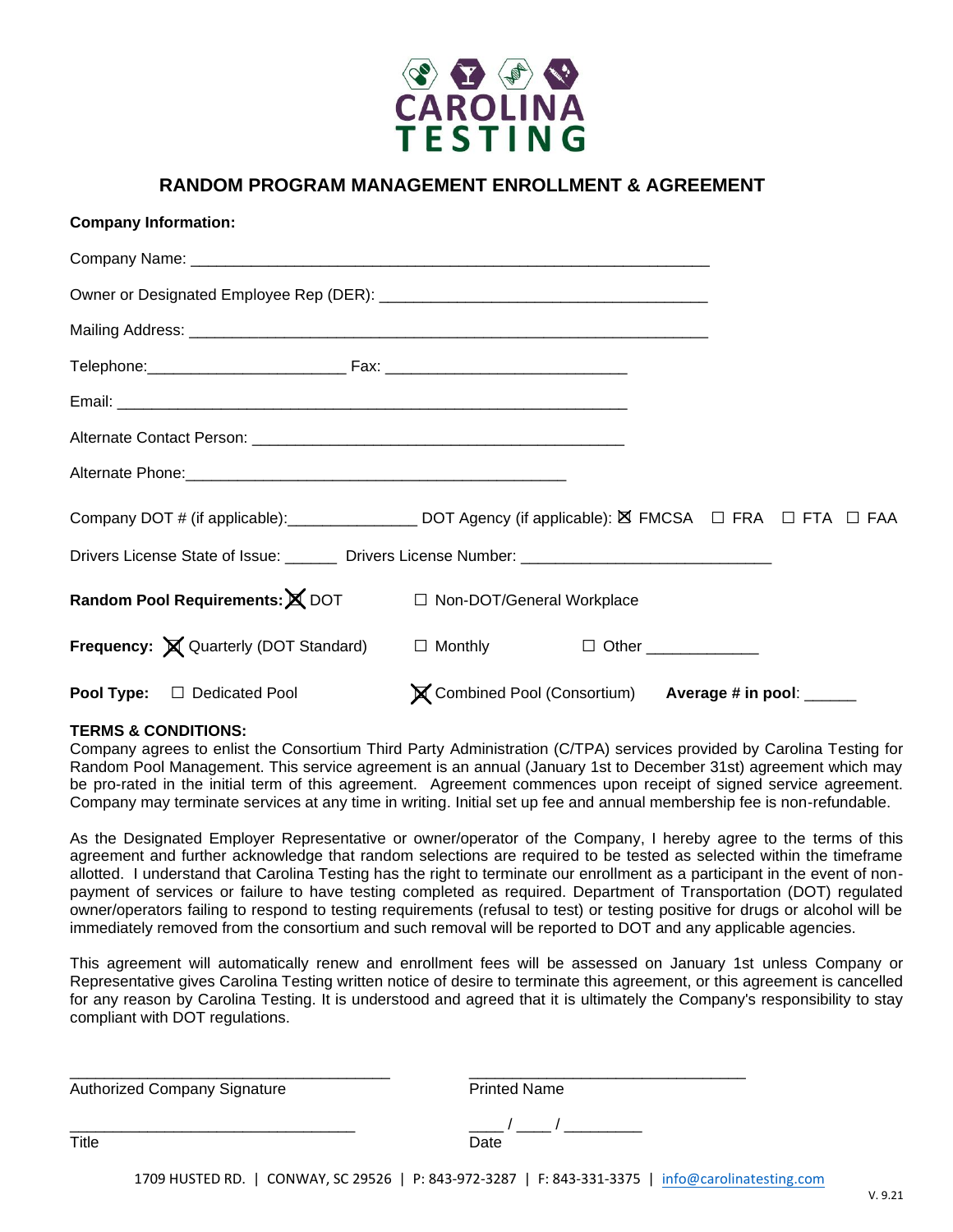

### **RANDOM PROGRAM MANAGEMENT ENROLLMENT & AGREEMENT**

| <b>Company Information:</b>                                                       |                                                       |  |
|-----------------------------------------------------------------------------------|-------------------------------------------------------|--|
|                                                                                   |                                                       |  |
|                                                                                   |                                                       |  |
|                                                                                   |                                                       |  |
|                                                                                   |                                                       |  |
|                                                                                   |                                                       |  |
|                                                                                   |                                                       |  |
|                                                                                   |                                                       |  |
|                                                                                   |                                                       |  |
|                                                                                   |                                                       |  |
| Random Pool Requirements: X DOT □ Non-DOT/General Workplace                       |                                                       |  |
| <b>Frequency:</b> X Quarterly (DOT Standard) □ Monthly □ Other <u>______</u> ____ |                                                       |  |
| Pool Type: □ Dedicated Pool                                                       | X Combined Pool (Consortium) Average # in pool: _____ |  |

#### **TERMS & CONDITIONS:**

Company agrees to enlist the Consortium Third Party Administration (C/TPA) services provided by Carolina Testing for Random Pool Management. This service agreement is an annual (January 1st to December 31st) agreement which may be pro-rated in the initial term of this agreement. Agreement commences upon receipt of signed service agreement. Company may terminate services at any time in writing. Initial set up fee and annual membership fee is non-refundable.

As the Designated Employer Representative or owner/operator of the Company, I hereby agree to the terms of this agreement and further acknowledge that random selections are required to be tested as selected within the timeframe allotted. I understand that Carolina Testing has the right to terminate our enrollment as a participant in the event of nonpayment of services or failure to have testing completed as required. Department of Transportation (DOT) regulated owner/operators failing to respond to testing requirements (refusal to test) or testing positive for drugs or alcohol will be immediately removed from the consortium and such removal will be reported to DOT and any applicable agencies.

This agreement will automatically renew and enrollment fees will be assessed on January 1st unless Company or Representative gives Carolina Testing written notice of desire to terminate this agreement, or this agreement is cancelled for any reason by Carolina Testing. It is understood and agreed that it is ultimately the Company's responsibility to stay compliant with DOT regulations.

| <b>Printed Name</b>              |  |
|----------------------------------|--|
| $\overline{\phantom{a}}$<br>Date |  |
|                                  |  |